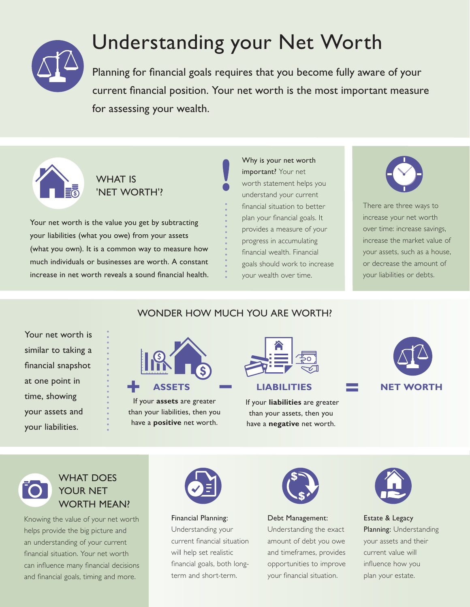

# Understanding your Net Worth

Planning for financial goals requires that you become fully aware of your current financial position. Your net worth is the most important measure for assessing your wealth.



### WHAT IS 'NET WORTH'?

Your net worth is the value you get by subtracting your liabilities (what you owe) from your assets (what you own). It is a common way to measure how much individuals or businesses are worth. A constant increase in net worth reveals a sound financial health. Why is your net worth important? Your net worth statement helps you understand your current financial situation to better plan your financial goals. It provides a measure of your progress in accumulating financial wealth. Financial goals should work to increase your wealth over time.



There are three ways to increase your net worth over time: increase savings, increase the market value of your assets, such as a house, or decrease the amount of your liabilities or debts.

| Your net worth is   |  |  |
|---------------------|--|--|
| similar to taking a |  |  |
| financial snapshot  |  |  |
| at one point in     |  |  |
| time, showing       |  |  |
| your assets and     |  |  |
| your liabilities.   |  |  |

# WONDER HOW MUCH YOU ARE WORTH?



If your **assets** are greater than your liabilities, then you have a **positive** net worth.

than your assets, then you have a **negative** net worth.





### WHAT DOES YOUR NET WORTH MEAN?

Knowing the value of your net worth helps provide the big picture and an understanding of your current financial situation. Your net worth can influence many financial decisions and financial goals, timing and more.



Financial Planning: Understanding your current financial situation will help set realistic financial goals, both longterm and short-term.



Debt Management: Understanding the exact

amount of debt you owe and timeframes, provides opportunities to improve your financial situation.



Estate & Legacy Planning: Understanding your assets and their current value will influence how you plan your estate.